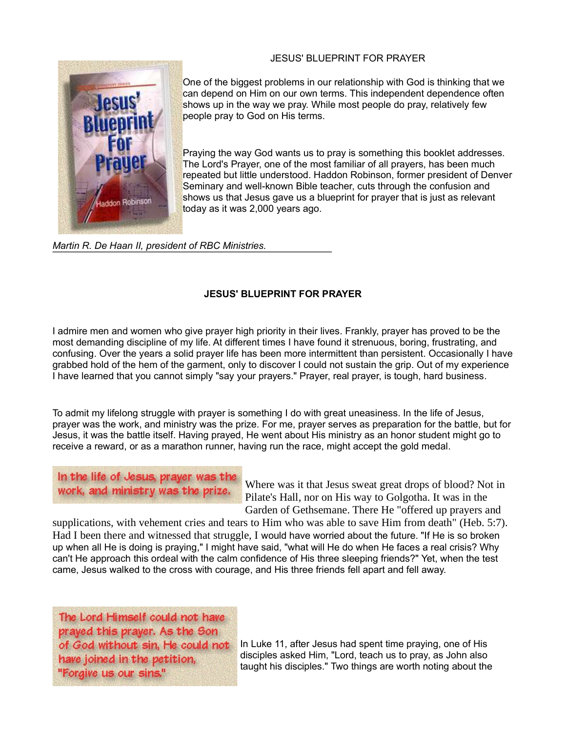# JESUS' BLUEPRINT FOR PRAYER



One of the biggest problems in our relationship with God is thinking that we can depend on Him on our own terms. This independent dependence often shows up in the way we pray. While most people do pray, relatively few people pray to God on His terms.

Praying the way God wants us to pray is something this booklet addresses. The Lord's Prayer, one of the most familiar of all prayers, has been much repeated but little understood. Haddon Robinson, former president of Denver Seminary and well-known Bible teacher, cuts through the confusion and shows us that Jesus gave us a blueprint for prayer that is just as relevant today as it was 2,000 years ago.

Martin R. De Haan II, president of RBC Ministries.

## JESUS' BLUEPRINT FOR PRAYER

I admire men and women who give prayer high priority in their lives. Frankly, prayer has proved to be the most demanding discipline of my life. At different times I have found it strenuous, boring, frustrating, and confusing. Over the years a solid prayer life has been more intermittent than persistent. Occasionally I have grabbed hold of the hem of the garment, only to discover I could not sustain the grip. Out of my experience I have learned that you cannot simply "say your prayers." Prayer, real prayer, is tough, hard business.

To admit my lifelong struggle with prayer is something I do with great uneasiness. In the life of Jesus, prayer was the work, and ministry was the prize. For me, prayer serves as preparation for the battle, but for Jesus, it was the battle itself. Having prayed, He went about His ministry as an honor student might go to receive a reward, or as a marathon runner, having run the race, might accept the gold medal.



Where was it that Jesus sweat great drops of blood? Not in Pilate's Hall, nor on His way to Golgotha. It was in the Garden of Gethsemane. There He "offered up prayers and

supplications, with vehement cries and tears to Him who was able to save Him from death" (Heb. 5:7). Had I been there and witnessed that struggle, I would have worried about the future. "If He is so broken up when all He is doing is praying," I might have said, "what will He do when He faces a real crisis? Why can't He approach this ordeal with the calm confidence of His three sleeping friends?" Yet, when the test came, Jesus walked to the cross with courage, and His three friends fell apart and fell away.

The Lord Himself could not have prayed this prayer. As the Son of God without sin, He could not have joined in the petition, "Forgive us our sins."

In Luke 11, after Jesus had spent time praying, one of His disciples asked Him, "Lord, teach us to pray, as John also taught his disciples." Two things are worth noting about the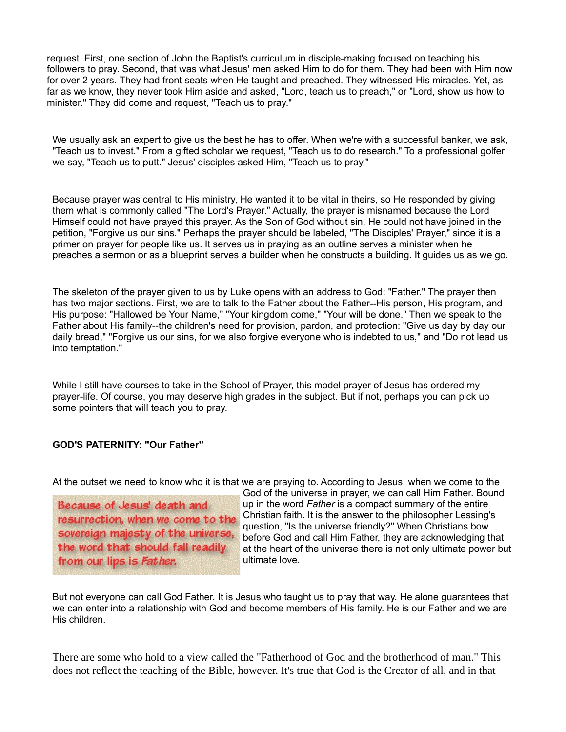request. First, one section of John the Baptist's curriculum in disciple-making focused on teaching his followers to pray. Second, that was what Jesus' men asked Him to do for them. They had been with Him now for over 2 years. They had front seats when He taught and preached. They witnessed His miracles. Yet, as far as we know, they never took Him aside and asked, "Lord, teach us to preach," or "Lord, show us how to minister." They did come and request, "Teach us to pray."

We usually ask an expert to give us the best he has to offer. When we're with a successful banker, we ask, "Teach us to invest." From a gifted scholar we request, "Teach us to do research." To a professional golfer we say, "Teach us to putt." Jesus' disciples asked Him, "Teach us to pray."

Because prayer was central to His ministry, He wanted it to be vital in theirs, so He responded by giving them what is commonly called "The Lord's Prayer." Actually, the prayer is misnamed because the Lord Himself could not have prayed this prayer. As the Son of God without sin, He could not have joined in the petition, "Forgive us our sins." Perhaps the prayer should be labeled, "The Disciples' Prayer," since it is a primer on prayer for people like us. It serves us in praying as an outline serves a minister when he preaches a sermon or as a blueprint serves a builder when he constructs a building. It guides us as we go.

The skeleton of the prayer given to us by Luke opens with an address to God: "Father." The prayer then has two major sections. First, we are to talk to the Father about the Father--His person, His program, and His purpose: "Hallowed be Your Name," "Your kingdom come," "Your will be done." Then we speak to the Father about His family--the children's need for provision, pardon, and protection: "Give us day by day our daily bread," "Forgive us our sins, for we also forgive everyone who is indebted to us," and "Do not lead us into temptation."

While I still have courses to take in the School of Prayer, this model prayer of Jesus has ordered my prayer-life. Of course, you may deserve high grades in the subject. But if not, perhaps you can pick up some pointers that will teach you to pray.

# GOD'S PATERNITY: "Our Father"

At the outset we need to know who it is that we are praying to. According to Jesus, when we come to the

Because of Jesus' death and resurrection, when we come to the sovereign majesty of the universe, the word that should fall readily from our lips is *Father*.

God of the universe in prayer, we can call Him Father. Bound up in the word Father is a compact summary of the entire Christian faith. It is the answer to the philosopher Lessing's question, "Is the universe friendly?" When Christians bow before God and call Him Father, they are acknowledging that at the heart of the universe there is not only ultimate power but ultimate love.

But not everyone can call God Father. It is Jesus who taught us to pray that way. He alone guarantees that we can enter into a relationship with God and become members of His family. He is our Father and we are His children.

There are some who hold to a view called the "Fatherhood of God and the brotherhood of man." This does not reflect the teaching of the Bible, however. It's true that God is the Creator of all, and in that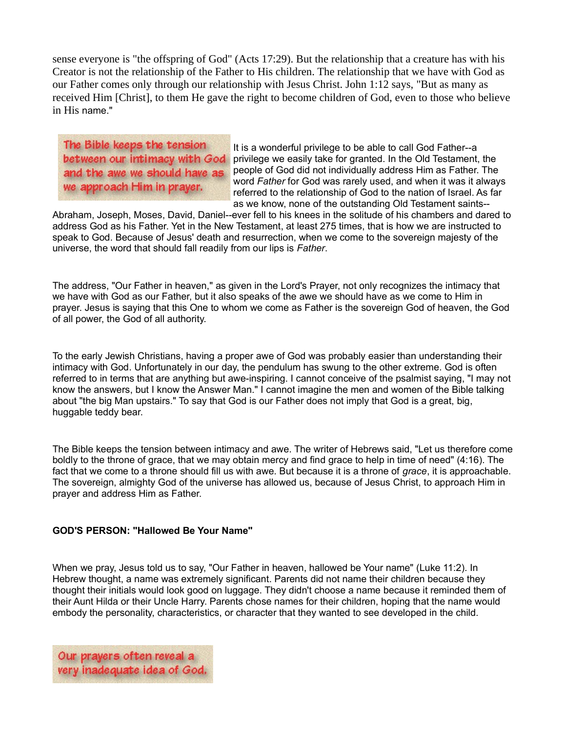sense everyone is "the offspring of God" (Acts 17:29). But the relationship that a creature has with his Creator is not the relationship of the Father to His children. The relationship that we have with God as our Father comes only through our relationship with Jesus Christ. John 1:12 says, "But as many as received Him [Christ], to them He gave the right to become children of God, even to those who believe in His name."

The Bible keeps the tension between our intimacy with God and the awe we should have as we approach Him in prayer.

It is a wonderful privilege to be able to call God Father--a privilege we easily take for granted. In the Old Testament, the people of God did not individually address Him as Father. The word Father for God was rarely used, and when it was it always referred to the relationship of God to the nation of Israel. As far as we know, none of the outstanding Old Testament saints--

Abraham, Joseph, Moses, David, Daniel--ever fell to his knees in the solitude of his chambers and dared to address God as his Father. Yet in the New Testament, at least 275 times, that is how we are instructed to speak to God. Because of Jesus' death and resurrection, when we come to the sovereign majesty of the universe, the word that should fall readily from our lips is Father.

The address, "Our Father in heaven," as given in the Lord's Prayer, not only recognizes the intimacy that we have with God as our Father, but it also speaks of the awe we should have as we come to Him in prayer. Jesus is saying that this One to whom we come as Father is the sovereign God of heaven, the God of all power, the God of all authority.

To the early Jewish Christians, having a proper awe of God was probably easier than understanding their intimacy with God. Unfortunately in our day, the pendulum has swung to the other extreme. God is often referred to in terms that are anything but awe-inspiring. I cannot conceive of the psalmist saying, "I may not know the answers, but I know the Answer Man." I cannot imagine the men and women of the Bible talking about "the big Man upstairs." To say that God is our Father does not imply that God is a great, big, huggable teddy bear.

The Bible keeps the tension between intimacy and awe. The writer of Hebrews said, "Let us therefore come boldly to the throne of grace, that we may obtain mercy and find grace to help in time of need" (4:16). The fact that we come to a throne should fill us with awe. But because it is a throne of grace, it is approachable. The sovereign, almighty God of the universe has allowed us, because of Jesus Christ, to approach Him in prayer and address Him as Father.

### GOD'S PERSON: "Hallowed Be Your Name"

When we pray, Jesus told us to say, "Our Father in heaven, hallowed be Your name" (Luke 11:2). In Hebrew thought, a name was extremely significant. Parents did not name their children because they thought their initials would look good on luggage. They didn't choose a name because it reminded them of their Aunt Hilda or their Uncle Harry. Parents chose names for their children, hoping that the name would embody the personality, characteristics, or character that they wanted to see developed in the child.

Our prayers often reveal a very inadequate idea of God.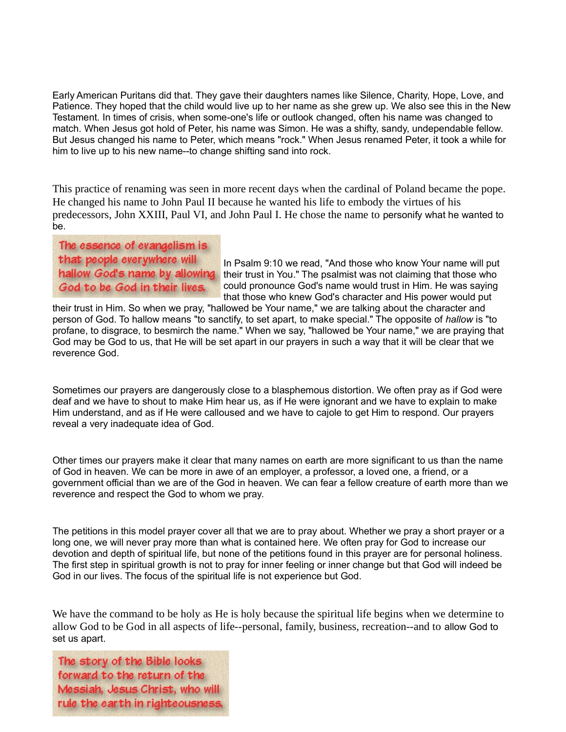Early American Puritans did that. They gave their daughters names like Silence, Charity, Hope, Love, and Patience. They hoped that the child would live up to her name as she grew up. We also see this in the New Testament. In times of crisis, when some-one's life or outlook changed, often his name was changed to match. When Jesus got hold of Peter, his name was Simon. He was a shifty, sandy, undependable fellow. But Jesus changed his name to Peter, which means "rock." When Jesus renamed Peter, it took a while for him to live up to his new name--to change shifting sand into rock.

This practice of renaming was seen in more recent days when the cardinal of Poland became the pope. He changed his name to John Paul II because he wanted his life to embody the virtues of his predecessors, John XXIII, Paul VI, and John Paul I. He chose the name to personify what he wanted to be.

The essence of evangelism is that people everywhere will God to be God in their lives.

In Psalm 9:10 we read, "And those who know Your name will put hallow God's name by allowing their trust in You." The psalmist was not claiming that those who could pronounce God's name would trust in Him. He was saying that those who knew God's character and His power would put

their trust in Him. So when we pray, "hallowed be Your name," we are talking about the character and person of God. To hallow means "to sanctify, to set apart, to make special." The opposite of hallow is "to profane, to disgrace, to besmirch the name." When we say, "hallowed be Your name," we are praying that God may be God to us, that He will be set apart in our prayers in such a way that it will be clear that we reverence God.

Sometimes our prayers are dangerously close to a blasphemous distortion. We often pray as if God were deaf and we have to shout to make Him hear us, as if He were ignorant and we have to explain to make Him understand, and as if He were calloused and we have to cajole to get Him to respond. Our prayers reveal a very inadequate idea of God.

Other times our prayers make it clear that many names on earth are more significant to us than the name of God in heaven. We can be more in awe of an employer, a professor, a loved one, a friend, or a government official than we are of the God in heaven. We can fear a fellow creature of earth more than we reverence and respect the God to whom we pray.

The petitions in this model prayer cover all that we are to pray about. Whether we pray a short prayer or a long one, we will never pray more than what is contained here. We often pray for God to increase our devotion and depth of spiritual life, but none of the petitions found in this prayer are for personal holiness. The first step in spiritual growth is not to pray for inner feeling or inner change but that God will indeed be God in our lives. The focus of the spiritual life is not experience but God.

We have the command to be holy as He is holy because the spiritual life begins when we determine to allow God to be God in all aspects of life--personal, family, business, recreation--and to allow God to set us apart.

The story of the Bible looks forward to the return of the Messiah, Jesus Christ, who will rule the earth in righteousness.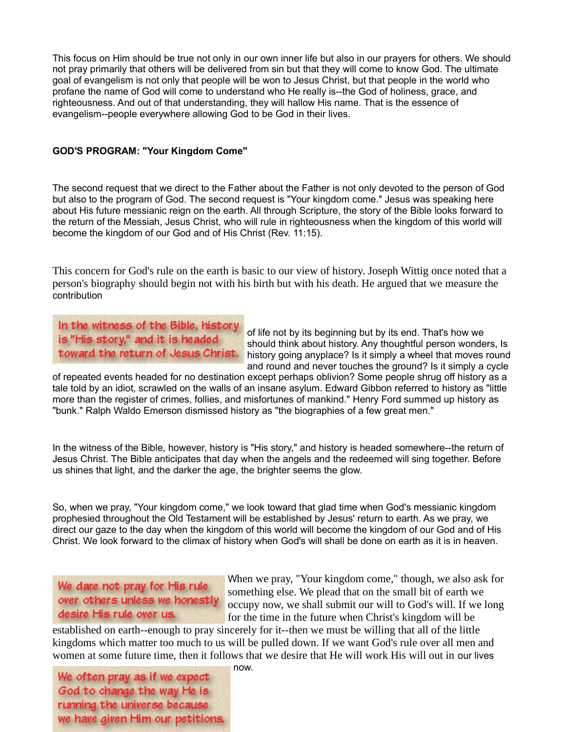This focus on Him should be true not only in our own inner life but also in our prayers for others. We should not pray primarily that others will be delivered from sin but that they will come to know God. The ultimate goal of evangelism is not only that people will be won to Jesus Christ, but that people in the world who profane the name of God will come to understand who He really is--the God of holiness, grace, and righteousness. And out of that understanding, they will hallow His name. That is the essence of evangelism--people everywhere allowing God to be God in their lives.

#### GOD'S PROGRAM: "Your Kingdom Come"

The second request that we direct to the Father about the Father is not only devoted to the person of God but also to the program of God. The second request is "Your kingdom come." Jesus was speaking here about His future messianic reign on the earth. All through Scripture, the story of the Bible looks forward to the return of the Messiah, Jesus Christ, who will rule in righteousness when the kingdom of this world will become the kingdom of our God and of His Christ (Rev. 11:15).

This concern for God's rule on the earth is basic to our view of history. Joseph Wittig once noted that a person's biography should begin not with his birth but with his death. He argued that we measure the contribution

In the witness of the Bible, history is "His story," and it is headed

of life not by its beginning but by its end. That's how we should think about history. Any thoughtful person wonders, Is toward the return of Jesus Christ. history going anyplace? Is it simply a wheel that moves round and round and never touches the ground? Is it simply a cycle

of repeated events headed for no destination except perhaps oblivion? Some people shrug off history as a tale told by an idiot, scrawled on the walls of an insane asylum. Edward Gibbon referred to history as "little more than the register of crimes, follies, and misfortunes of mankind." Henry Ford summed up history as "bunk." Ralph Waldo Emerson dismissed history as "the biographies of a few great men."

In the witness of the Bible, however, history is "His story," and history is headed somewhere--the return of Jesus Christ. The Bible anticipates that day when the angels and the redeemed will sing together. Before us shines that light, and the darker the age, the brighter seems the glow.

So, when we pray, "Your kingdom come," we look toward that glad time when God's messianic kingdom prophesied throughout the Old Testament will be established by Jesus' return to earth. As we pray, we direct our gaze to the day when the kingdom of this world will become the kingdom of our God and of His Christ. We look forward to the climax of history when God's will shall be done on earth as it is in heaven.

# We dare not pray for His rule over others unless we honestly desire His rule over us.

When we pray, "Your kingdom come," though, we also ask for something else. We plead that on the small bit of earth we occupy now, we shall submit our will to God's will. If we long for the time in the future when Christ's kingdom will be

established on earth--enough to pray sincerely for it--then we must be willing that all of the little kingdoms which matter too much to us will be pulled down. If we want God's rule over all men and women at some future time, then it follows that we desire that He will work His will out in our lives

We often pray as if we expect God to change the way He is running the universe because we have given Him our petitions.

now.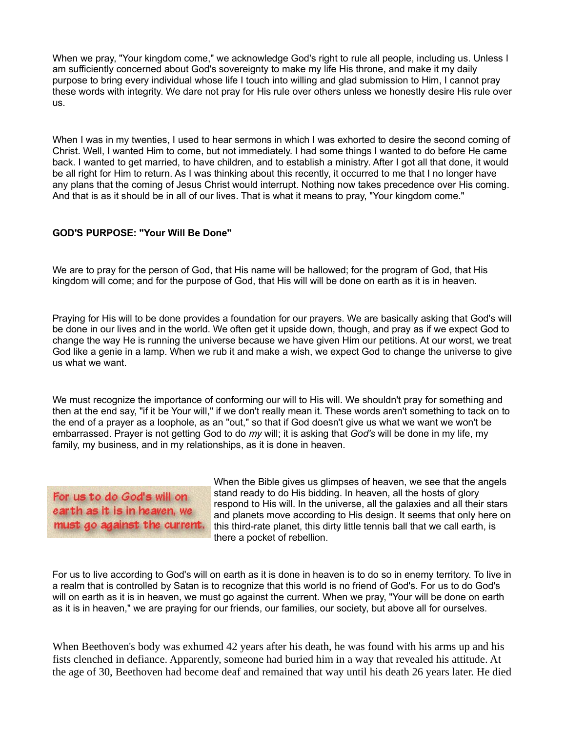When we pray, "Your kingdom come," we acknowledge God's right to rule all people, including us. Unless I am sufficiently concerned about God's sovereignty to make my life His throne, and make it my daily purpose to bring every individual whose life I touch into willing and glad submission to Him, I cannot pray these words with integrity. We dare not pray for His rule over others unless we honestly desire His rule over us.

When I was in my twenties, I used to hear sermons in which I was exhorted to desire the second coming of Christ. Well, I wanted Him to come, but not immediately. I had some things I wanted to do before He came back. I wanted to get married, to have children, and to establish a ministry. After I got all that done, it would be all right for Him to return. As I was thinking about this recently, it occurred to me that I no longer have any plans that the coming of Jesus Christ would interrupt. Nothing now takes precedence over His coming. And that is as it should be in all of our lives. That is what it means to pray, "Your kingdom come."

### GOD'S PURPOSE: "Your Will Be Done"

We are to pray for the person of God, that His name will be hallowed; for the program of God, that His kingdom will come; and for the purpose of God, that His will will be done on earth as it is in heaven.

Praying for His will to be done provides a foundation for our prayers. We are basically asking that God's will be done in our lives and in the world. We often get it upside down, though, and pray as if we expect God to change the way He is running the universe because we have given Him our petitions. At our worst, we treat God like a genie in a lamp. When we rub it and make a wish, we expect God to change the universe to give us what we want.

We must recognize the importance of conforming our will to His will. We shouldn't pray for something and then at the end say, "if it be Your will," if we don't really mean it. These words aren't something to tack on to the end of a prayer as a loophole, as an "out," so that if God doesn't give us what we want we won't be embarrassed. Prayer is not getting God to do my will; it is asking that God's will be done in my life, my family, my business, and in my relationships, as it is done in heaven.

For us to do God's will on earth as it is in heaven, we must go against the current. When the Bible gives us glimpses of heaven, we see that the angels stand ready to do His bidding. In heaven, all the hosts of glory respond to His will. In the universe, all the galaxies and all their stars and planets move according to His design. It seems that only here on this third-rate planet, this dirty little tennis ball that we call earth, is there a pocket of rebellion.

For us to live according to God's will on earth as it is done in heaven is to do so in enemy territory. To live in a realm that is controlled by Satan is to recognize that this world is no friend of God's. For us to do God's will on earth as it is in heaven, we must go against the current. When we pray, "Your will be done on earth as it is in heaven," we are praying for our friends, our families, our society, but above all for ourselves.

When Beethoven's body was exhumed 42 years after his death, he was found with his arms up and his fists clenched in defiance. Apparently, someone had buried him in a way that revealed his attitude. At the age of 30, Beethoven had become deaf and remained that way until his death 26 years later. He died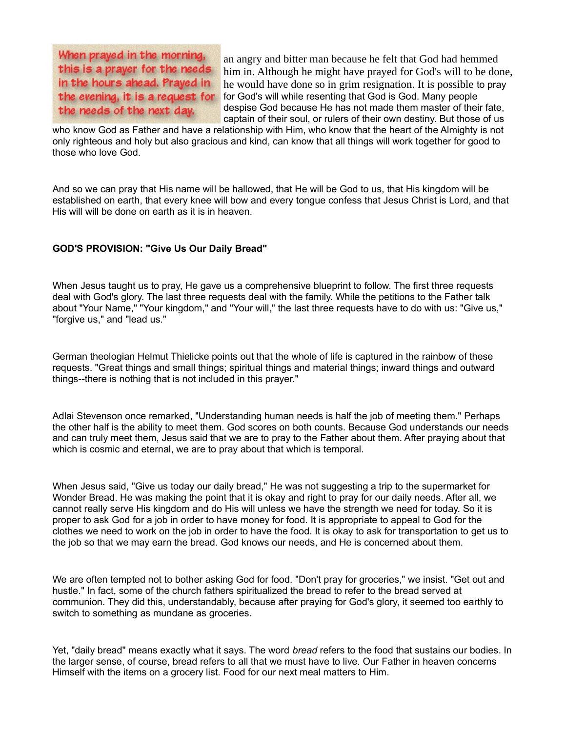When prayed in the morning, this is a prayer for the needs in the hours ahead. Prayed in the evening, it is a request for the needs of the next day.

an angry and bitter man because he felt that God had hemmed him in. Although he might have prayed for God's will to be done, he would have done so in grim resignation. It is possible to pray for God's will while resenting that God is God. Many people despise God because He has not made them master of their fate, captain of their soul, or rulers of their own destiny. But those of us

who know God as Father and have a relationship with Him, who know that the heart of the Almighty is not only righteous and holy but also gracious and kind, can know that all things will work together for good to those who love God.

And so we can pray that His name will be hallowed, that He will be God to us, that His kingdom will be established on earth, that every knee will bow and every tongue confess that Jesus Christ is Lord, and that His will will be done on earth as it is in heaven.

## GOD'S PROVISION: "Give Us Our Daily Bread"

When Jesus taught us to pray, He gave us a comprehensive blueprint to follow. The first three requests deal with God's glory. The last three requests deal with the family. While the petitions to the Father talk about "Your Name," "Your kingdom," and "Your will," the last three requests have to do with us: "Give us," "forgive us," and "lead us."

German theologian Helmut Thielicke points out that the whole of life is captured in the rainbow of these requests. "Great things and small things; spiritual things and material things; inward things and outward things--there is nothing that is not included in this prayer."

Adlai Stevenson once remarked, "Understanding human needs is half the job of meeting them." Perhaps the other half is the ability to meet them. God scores on both counts. Because God understands our needs and can truly meet them, Jesus said that we are to pray to the Father about them. After praying about that which is cosmic and eternal, we are to pray about that which is temporal.

When Jesus said, "Give us today our daily bread," He was not suggesting a trip to the supermarket for Wonder Bread. He was making the point that it is okay and right to pray for our daily needs. After all, we cannot really serve His kingdom and do His will unless we have the strength we need for today. So it is proper to ask God for a job in order to have money for food. It is appropriate to appeal to God for the clothes we need to work on the job in order to have the food. It is okay to ask for transportation to get us to the job so that we may earn the bread. God knows our needs, and He is concerned about them.

We are often tempted not to bother asking God for food. "Don't pray for groceries," we insist. "Get out and hustle." In fact, some of the church fathers spiritualized the bread to refer to the bread served at communion. They did this, understandably, because after praying for God's glory, it seemed too earthly to switch to something as mundane as groceries.

Yet, "daily bread" means exactly what it says. The word bread refers to the food that sustains our bodies. In the larger sense, of course, bread refers to all that we must have to live. Our Father in heaven concerns Himself with the items on a grocery list. Food for our next meal matters to Him.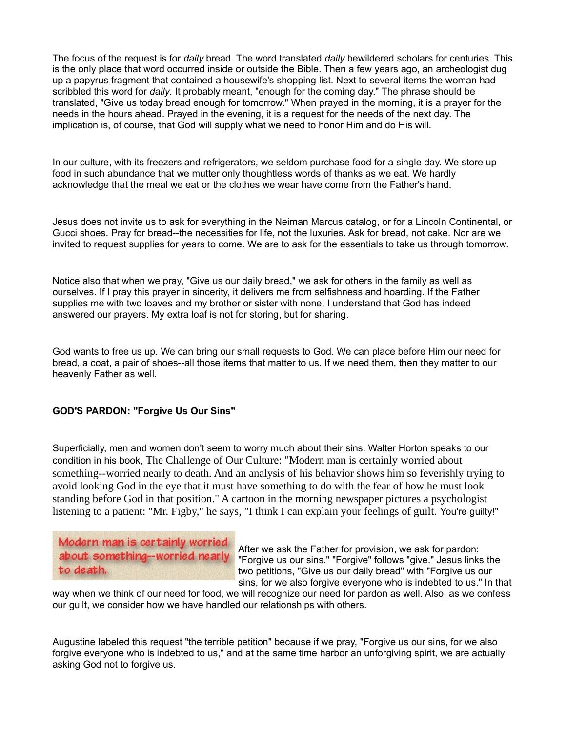The focus of the request is for *daily* bread. The word translated *daily* bewildered scholars for centuries. This is the only place that word occurred inside or outside the Bible. Then a few years ago, an archeologist dug up a papyrus fragment that contained a housewife's shopping list. Next to several items the woman had scribbled this word for *daily*. It probably meant, "enough for the coming day." The phrase should be translated, "Give us today bread enough for tomorrow." When prayed in the morning, it is a prayer for the needs in the hours ahead. Prayed in the evening, it is a request for the needs of the next day. The implication is, of course, that God will supply what we need to honor Him and do His will.

In our culture, with its freezers and refrigerators, we seldom purchase food for a single day. We store up food in such abundance that we mutter only thoughtless words of thanks as we eat. We hardly acknowledge that the meal we eat or the clothes we wear have come from the Father's hand.

Jesus does not invite us to ask for everything in the Neiman Marcus catalog, or for a Lincoln Continental, or Gucci shoes. Pray for bread--the necessities for life, not the luxuries. Ask for bread, not cake. Nor are we invited to request supplies for years to come. We are to ask for the essentials to take us through tomorrow.

Notice also that when we pray, "Give us our daily bread," we ask for others in the family as well as ourselves. If I pray this prayer in sincerity, it delivers me from selfishness and hoarding. If the Father supplies me with two loaves and my brother or sister with none, I understand that God has indeed answered our prayers. My extra loaf is not for storing, but for sharing.

God wants to free us up. We can bring our small requests to God. We can place before Him our need for bread, a coat, a pair of shoes--all those items that matter to us. If we need them, then they matter to our heavenly Father as well.

### GOD'S PARDON: "Forgive Us Our Sins"

Superficially, men and women don't seem to worry much about their sins. Walter Horton speaks to our condition in his book, The Challenge of Our Culture: "Modern man is certainly worried about something--worried nearly to death. And an analysis of his behavior shows him so feverishly trying to avoid looking God in the eye that it must have something to do with the fear of how he must look standing before God in that position." A cartoon in the morning newspaper pictures a psychologist listening to a patient: "Mr. Figby," he says, "I think I can explain your feelings of guilt. You're guilty!"

Modern man is certainly worried about something--worried nearly to death.

After we ask the Father for provision, we ask for pardon: "Forgive us our sins." "Forgive" follows "give." Jesus links the two petitions, "Give us our daily bread" with "Forgive us our sins, for we also forgive everyone who is indebted to us." In that

way when we think of our need for food, we will recognize our need for pardon as well. Also, as we confess our guilt, we consider how we have handled our relationships with others.

Augustine labeled this request "the terrible petition" because if we pray, "Forgive us our sins, for we also forgive everyone who is indebted to us," and at the same time harbor an unforgiving spirit, we are actually asking God not to forgive us.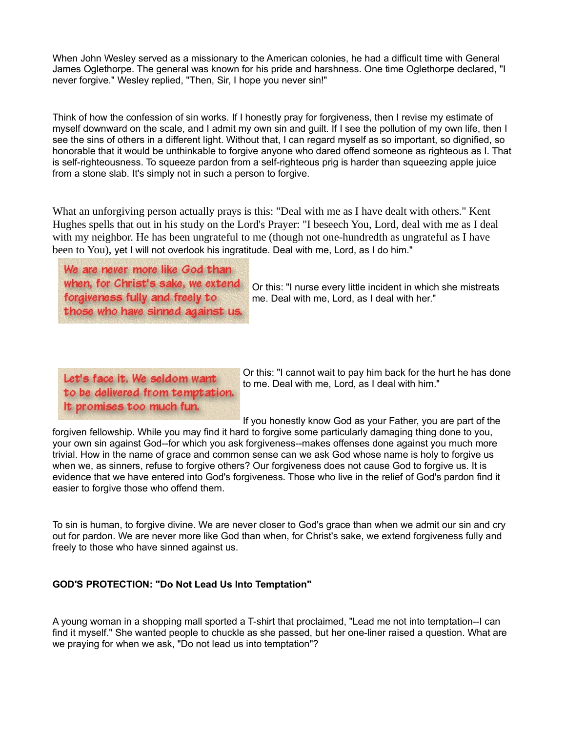When John Wesley served as a missionary to the American colonies, he had a difficult time with General James Oglethorpe. The general was known for his pride and harshness. One time Oglethorpe declared, "I never forgive." Wesley replied, "Then, Sir, I hope you never sin!"

Think of how the confession of sin works. If I honestly pray for forgiveness, then I revise my estimate of myself downward on the scale, and I admit my own sin and guilt. If I see the pollution of my own life, then I see the sins of others in a different light. Without that, I can regard myself as so important, so dignified, so honorable that it would be unthinkable to forgive anyone who dared offend someone as righteous as I. That is self-righteousness. To squeeze pardon from a self-righteous prig is harder than squeezing apple juice from a stone slab. It's simply not in such a person to forgive.

What an unforgiving person actually prays is this: "Deal with me as I have dealt with others." Kent Hughes spells that out in his study on the Lord's Prayer: "I beseech You, Lord, deal with me as I deal with my neighbor. He has been ungrateful to me (though not one-hundredth as ungrateful as I have been to You), yet I will not overlook his ingratitude. Deal with me, Lord, as I do him."

We are never more like God than when, for Christ's sake, we extend forgiveness fully and freely to those who have sinned against us.

Or this: "I nurse every little incident in which she mistreats me. Deal with me, Lord, as I deal with her."

Let's face it. We seldom want to be delivered from temptation. It promises too much fun.

Or this: "I cannot wait to pay him back for the hurt he has done to me. Deal with me, Lord, as I deal with him."

If you honestly know God as your Father, you are part of the forgiven fellowship. While you may find it hard to forgive some particularly damaging thing done to you,

your own sin against God--for which you ask forgiveness--makes offenses done against you much more trivial. How in the name of grace and common sense can we ask God whose name is holy to forgive us when we, as sinners, refuse to forgive others? Our forgiveness does not cause God to forgive us. It is evidence that we have entered into God's forgiveness. Those who live in the relief of God's pardon find it easier to forgive those who offend them.

To sin is human, to forgive divine. We are never closer to God's grace than when we admit our sin and cry out for pardon. We are never more like God than when, for Christ's sake, we extend forgiveness fully and freely to those who have sinned against us.

### GOD'S PROTECTION: "Do Not Lead Us Into Temptation"

A young woman in a shopping mall sported a T-shirt that proclaimed, "Lead me not into temptation--I can find it myself." She wanted people to chuckle as she passed, but her one-liner raised a question. What are we praying for when we ask, "Do not lead us into temptation"?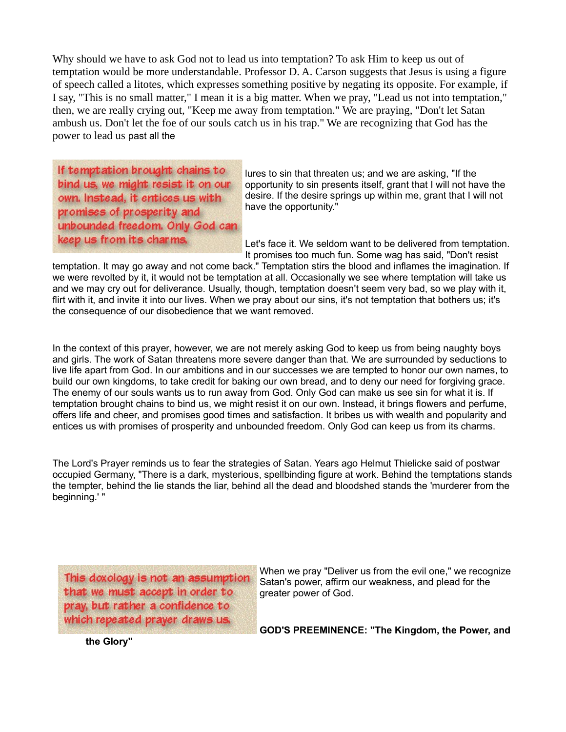Why should we have to ask God not to lead us into temptation? To ask Him to keep us out of temptation would be more understandable. Professor D. A. Carson suggests that Jesus is using a figure of speech called a litotes, which expresses something positive by negating its opposite. For example, if I say, "This is no small matter," I mean it is a big matter. When we pray, "Lead us not into temptation," then, we are really crying out, "Keep me away from temptation." We are praying, "Don't let Satan ambush us. Don't let the foe of our souls catch us in his trap." We are recognizing that God has the power to lead us past all the

If temptation brought chains to bind us, we might resist it on our own. Instead, it entices us with promises of prosperity and unbounded freedom. Only God can keep us from its charms.

lures to sin that threaten us; and we are asking, "If the opportunity to sin presents itself, grant that I will not have the desire. If the desire springs up within me, grant that I will not have the opportunity."

Let's face it. We seldom want to be delivered from temptation. It promises too much fun. Some wag has said, "Don't resist

temptation. It may go away and not come back." Temptation stirs the blood and inflames the imagination. If we were revolted by it, it would not be temptation at all. Occasionally we see where temptation will take us and we may cry out for deliverance. Usually, though, temptation doesn't seem very bad, so we play with it, flirt with it, and invite it into our lives. When we pray about our sins, it's not temptation that bothers us; it's the consequence of our disobedience that we want removed.

In the context of this prayer, however, we are not merely asking God to keep us from being naughty boys and girls. The work of Satan threatens more severe danger than that. We are surrounded by seductions to live life apart from God. In our ambitions and in our successes we are tempted to honor our own names, to build our own kingdoms, to take credit for baking our own bread, and to deny our need for forgiving grace. The enemy of our souls wants us to run away from God. Only God can make us see sin for what it is. If temptation brought chains to bind us, we might resist it on our own. Instead, it brings flowers and perfume, offers life and cheer, and promises good times and satisfaction. It bribes us with wealth and popularity and entices us with promises of prosperity and unbounded freedom. Only God can keep us from its charms.

The Lord's Prayer reminds us to fear the strategies of Satan. Years ago Helmut Thielicke said of postwar occupied Germany, "There is a dark, mysterious, spellbinding figure at work. Behind the temptations stands the tempter, behind the lie stands the liar, behind all the dead and bloodshed stands the 'murderer from the beginning.' "

This doxology is not an assumption that we must accept in order to pray, but rather a confidence to which repeated prayer draws us.

When we pray "Deliver us from the evil one," we recognize Satan's power, affirm our weakness, and plead for the greater power of God.

GOD'S PREEMINENCE: "The Kingdom, the Power, and

the Glory"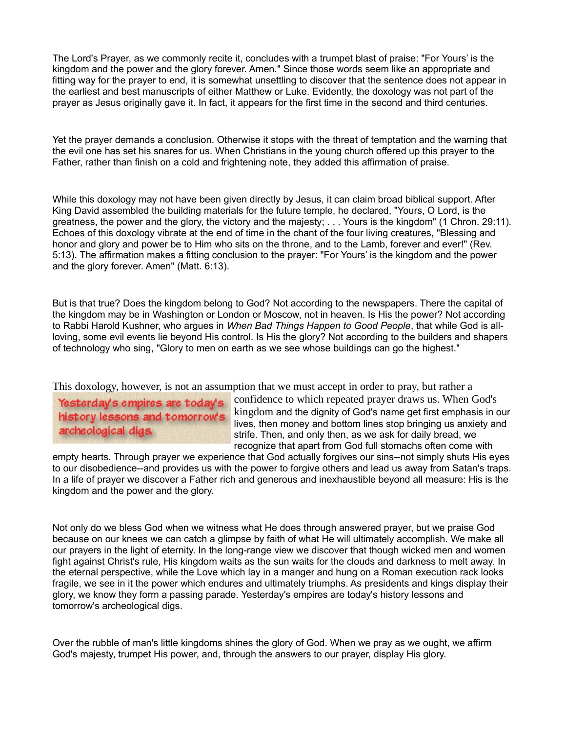The Lord's Prayer, as we commonly recite it, concludes with a trumpet blast of praise: "For Yours' is the kingdom and the power and the glory forever. Amen." Since those words seem like an appropriate and fitting way for the prayer to end, it is somewhat unsettling to discover that the sentence does not appear in the earliest and best manuscripts of either Matthew or Luke. Evidently, the doxology was not part of the prayer as Jesus originally gave it. In fact, it appears for the first time in the second and third centuries.

Yet the prayer demands a conclusion. Otherwise it stops with the threat of temptation and the warning that the evil one has set his snares for us. When Christians in the young church offered up this prayer to the Father, rather than finish on a cold and frightening note, they added this affirmation of praise.

While this doxology may not have been given directly by Jesus, it can claim broad biblical support. After King David assembled the building materials for the future temple, he declared, "Yours, O Lord, is the greatness, the power and the glory, the victory and the majesty; . . . Yours is the kingdom" (1 Chron. 29:11). Echoes of this doxology vibrate at the end of time in the chant of the four living creatures, "Blessing and honor and glory and power be to Him who sits on the throne, and to the Lamb, forever and ever!" (Rev. 5:13). The affirmation makes a fitting conclusion to the prayer: "For Yours' is the kingdom and the power and the glory forever. Amen" (Matt. 6:13).

But is that true? Does the kingdom belong to God? Not according to the newspapers. There the capital of the kingdom may be in Washington or London or Moscow, not in heaven. Is His the power? Not according to Rabbi Harold Kushner, who argues in When Bad Things Happen to Good People, that while God is allloving, some evil events lie beyond His control. Is His the glory? Not according to the builders and shapers of technology who sing, "Glory to men on earth as we see whose buildings can go the highest."

This doxology, however, is not an assumption that we must accept in order to pray, but rather a

Yesterday's empires are today's history lessons and tomorrow's archeological digs.

confidence to which repeated prayer draws us. When God's kingdom and the dignity of God's name get first emphasis in our lives, then money and bottom lines stop bringing us anxiety and strife. Then, and only then, as we ask for daily bread, we recognize that apart from God full stomachs often come with

empty hearts. Through prayer we experience that God actually forgives our sins--not simply shuts His eyes to our disobedience--and provides us with the power to forgive others and lead us away from Satan's traps. In a life of prayer we discover a Father rich and generous and inexhaustible beyond all measure: His is the kingdom and the power and the glory.

Not only do we bless God when we witness what He does through answered prayer, but we praise God because on our knees we can catch a glimpse by faith of what He will ultimately accomplish. We make all our prayers in the light of eternity. In the long-range view we discover that though wicked men and women fight against Christ's rule, His kingdom waits as the sun waits for the clouds and darkness to melt away. In the eternal perspective, while the Love which lay in a manger and hung on a Roman execution rack looks fragile, we see in it the power which endures and ultimately triumphs. As presidents and kings display their glory, we know they form a passing parade. Yesterday's empires are today's history lessons and tomorrow's archeological digs.

Over the rubble of man's little kingdoms shines the glory of God. When we pray as we ought, we affirm God's majesty, trumpet His power, and, through the answers to our prayer, display His glory.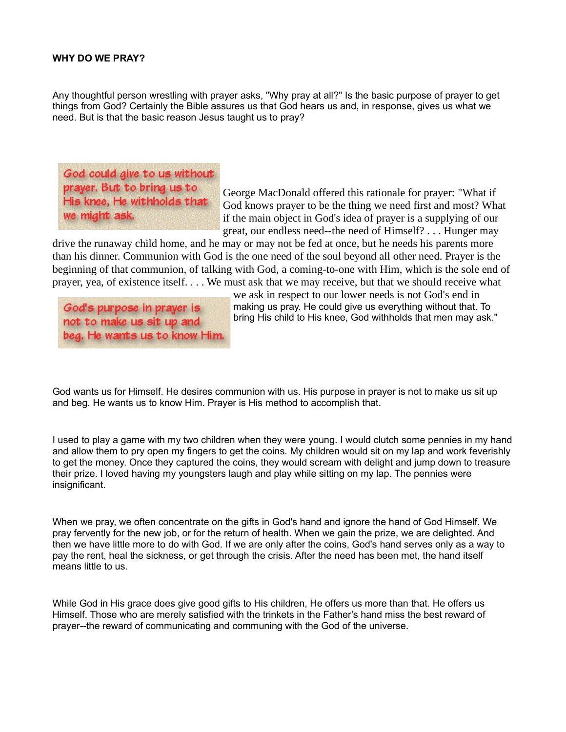#### WHY DO WE PRAY?

Any thoughtful person wrestling with prayer asks, "Why pray at all?" Is the basic purpose of prayer to get things from God? Certainly the Bible assures us that God hears us and, in response, gives us what we need. But is that the basic reason Jesus taught us to pray?

God could give to us without prayer. But to bring us to His knee, He withholds that we might ask.

George MacDonald offered this rationale for prayer: "What if God knows prayer to be the thing we need first and most? What if the main object in God's idea of prayer is a supplying of our great, our endless need--the need of Himself? . . . Hunger may

drive the runaway child home, and he may or may not be fed at once, but he needs his parents more than his dinner. Communion with God is the one need of the soul beyond all other need. Prayer is the beginning of that communion, of talking with God, a coming-to-one with Him, which is the sole end of prayer, yea, of existence itself. . . . We must ask that we may receive, but that we should receive what

God's purpose in prayer is not to make us sit up and beg. He wants us to know Him.

we ask in respect to our lower needs is not God's end in making us pray. He could give us everything without that. To bring His child to His knee, God withholds that men may ask."

God wants us for Himself. He desires communion with us. His purpose in prayer is not to make us sit up and beg. He wants us to know Him. Prayer is His method to accomplish that.

I used to play a game with my two children when they were young. I would clutch some pennies in my hand and allow them to pry open my fingers to get the coins. My children would sit on my lap and work feverishly to get the money. Once they captured the coins, they would scream with delight and jump down to treasure their prize. I loved having my youngsters laugh and play while sitting on my lap. The pennies were insignificant.

When we pray, we often concentrate on the gifts in God's hand and ignore the hand of God Himself. We pray fervently for the new job, or for the return of health. When we gain the prize, we are delighted. And then we have little more to do with God. If we are only after the coins, God's hand serves only as a way to pay the rent, heal the sickness, or get through the crisis. After the need has been met, the hand itself means little to us.

While God in His grace does give good gifts to His children, He offers us more than that. He offers us Himself. Those who are merely satisfied with the trinkets in the Father's hand miss the best reward of prayer--the reward of communicating and communing with the God of the universe.